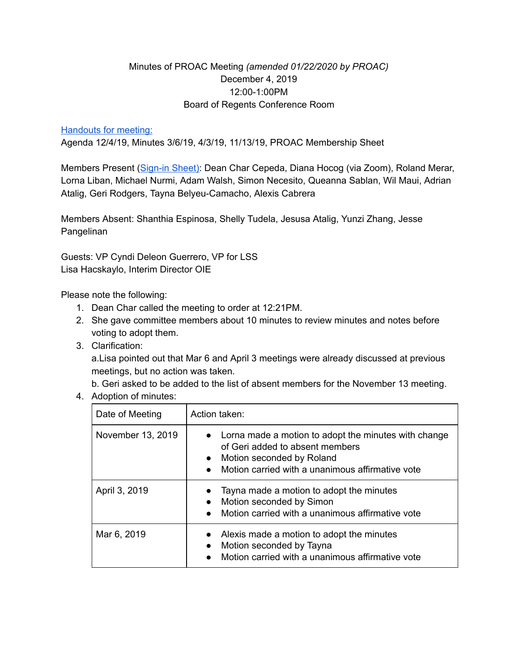## Minutes of PROAC Meeting *(amended 01/22/2020 by PROAC)* December 4, 2019 12:00-1:00PM Board of Regents Conference Room

## **[Handouts](https://drive.google.com/file/d/0B4Dfhjt-Op0yN1FrWXFQNl9fYWJFaVFLZ3VKVU9OSlNXNWpn/view?usp=sharing) for meeting:**

Agenda 12/4/19, Minutes 3/6/19, 4/3/19, 11/13/19, PROAC Membership Sheet

Members Present ([Sign-in](https://drive.google.com/file/d/0B4Dfhjt-Op0yYkppT1pKRGktSFJnQVlWTmpkRU91cTIwZm04/view?usp=sharing) Sheet): Dean Char Cepeda, Diana Hocog (via Zoom), Roland Merar, Lorna Liban, Michael Nurmi, Adam Walsh, Simon Necesito, Queanna Sablan, Wil Maui, Adrian Atalig, Geri Rodgers, Tayna Belyeu-Camacho, Alexis Cabrera

Members Absent: Shanthia Espinosa, Shelly Tudela, Jesusa Atalig, Yunzi Zhang, Jesse Pangelinan

Guests: VP Cyndi Deleon Guerrero, VP for LSS Lisa Hacskaylo, Interim Director OIE

Please note the following:

- 1. Dean Char called the meeting to order at 12:21PM.
- 2. She gave committee members about 10 minutes to review minutes and notes before voting to adopt them.
- 3. Clarification:

a.Lisa pointed out that Mar 6 and April 3 meetings were already discussed at previous meetings, but no action was taken.

b. Geri asked to be added to the list of absent members for the November 13 meeting.

4. Adoption of minutes:

| Date of Meeting   | Action taken:                                                                                                                                                                           |
|-------------------|-----------------------------------------------------------------------------------------------------------------------------------------------------------------------------------------|
| November 13, 2019 | • Lorna made a motion to adopt the minutes with change<br>of Geri added to absent members<br>Motion seconded by Roland<br>$\bullet$<br>Motion carried with a unanimous affirmative vote |
| April 3, 2019     | Tayna made a motion to adopt the minutes<br>$\bullet$<br>Motion seconded by Simon<br>$\bullet$<br>Motion carried with a unanimous affirmative vote                                      |
| Mar 6, 2019       | Alexis made a motion to adopt the minutes<br>$\bullet$<br>Motion seconded by Tayna<br>$\bullet$<br>Motion carried with a unanimous affirmative vote                                     |